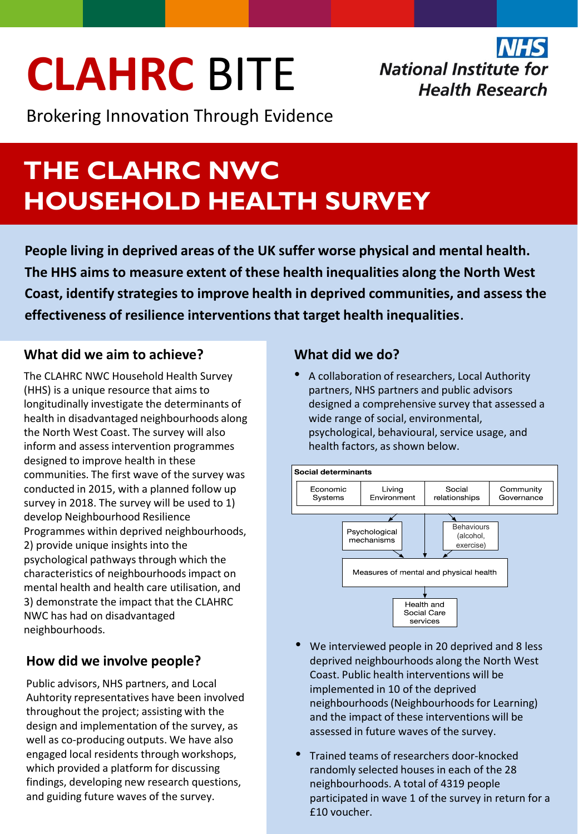## **CLAHRC** BITE

Brokering Innovation Through Evidence

**National Institute for Health Research** 

### **THE CLAHRC NWC HOUSEHOLD HEALTH SURVEY**

**People living in deprived areas of the UK suffer worse physical and mental health. The HHS aims to measure extent of these health inequalities along the North West Coast, identify strategies to improve health in deprived communities, and assess the effectiveness of resilience interventions that target health inequalities**.

#### **What did we aim to achieve?**

The CLAHRC NWC Household Health Survey (HHS) is a unique resource that aims to longitudinally investigate the determinants of health in disadvantaged neighbourhoods along the North West Coast. The survey will also inform and assess intervention programmes designed to improve health in these communities. The first wave of the survey was conducted in 2015, with a planned follow up survey in 2018. The survey will be used to 1) develop Neighbourhood Resilience Programmes within deprived neighbourhoods, 2) provide unique insights into the psychological pathways through which the characteristics of neighbourhoodsimpact on mental health and health care utilisation, and 3) demonstrate the impact that the CLAHRC NWC has had on disadvantaged neighbourhoods.

#### **How did we involve people?**

Public advisors, NHS partners, and Local Auhtority representatives have been involved throughout the project; assisting with the design and implementation of the survey, as well as co-producing outputs. We have also engaged local residents through workshops, which provided a platform for discussing findings, developing new research questions, and guiding future waves of the survey.

#### **What did we do?**

• A collaboration of researchers, Local Authority partners, NHS partners and public advisors designed a comprehensive survey that assessed a wide range of social, environmental, psychological, behavioural, service usage, and health factors, as shown below.



- We interviewed people in 20 deprived and 8 less deprived neighbourhoods along the North West Coast. Public health interventions will be implemented in 10 of the deprived neighbourhoods(Neighbourhoodsfor Learning) and the impact of these interventions will be assessed in future waves of the survey.
- Trained teams of researchers door-knocked randomly selected houses in each of the 28 neighbourhoods. A total of 4319 people participated in wave 1 of the survey in return for a £10 voucher.